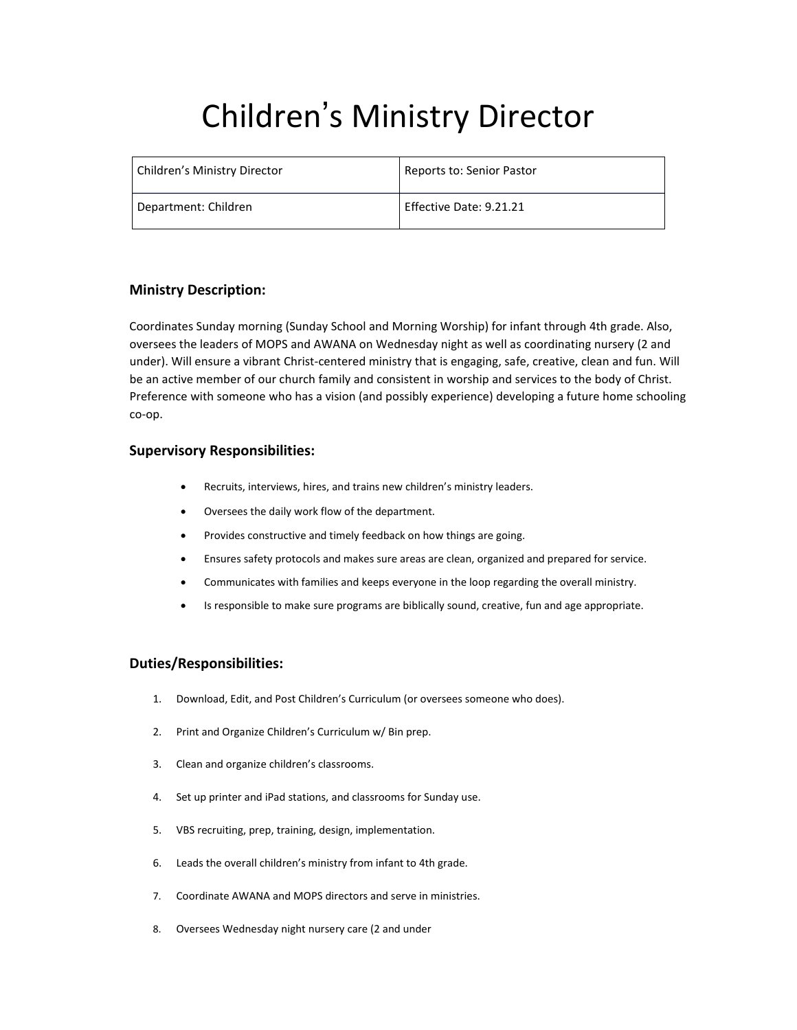# Children' s Ministry Director

| Children's Ministry Director | Reports to: Senior Pastor |
|------------------------------|---------------------------|
| Department: Children         | Effective Date: 9.21.21   |

## **Ministry Description:**

Coordinates Sunday morning (Sunday School and Morning Worship) for infant through 4th grade. Also, oversees the leaders of MOPS and AWANA on Wednesday night as well as coordinating nursery (2 and under). Will ensure a vibrant Christ-centered ministry that is engaging, safe, creative, clean and fun. Will be an active member of our church family and consistent in worship and services to the body of Christ. Preference with someone who has a vision (and possibly experience) developing a future home schooling co-op.

## **Supervisory Responsibilities:**

- Recruits, interviews, hires, and trains new children's ministry leaders.
- Oversees the daily work flow of the department.
- Provides constructive and timely feedback on how things are going.
- Ensures safety protocols and makes sure areas are clean, organized and prepared for service.
- Communicates with families and keeps everyone in the loop regarding the overall ministry.
- Is responsible to make sure programs are biblically sound, creative, fun and age appropriate.

## **Duties/Responsibilities:**

- 1. Download, Edit, and Post Children's Curriculum (or oversees someone who does).
- 2. Print and Organize Children's Curriculum w/ Bin prep.
- 3. Clean and organize children's classrooms.
- 4. Set up printer and iPad stations, and classrooms for Sunday use.
- 5. VBS recruiting, prep, training, design, implementation.
- 6. Leads the overall children's ministry from infant to 4th grade.
- 7. Coordinate AWANA and MOPS directors and serve in ministries.
- 8. Oversees Wednesday night nursery care (2 and under